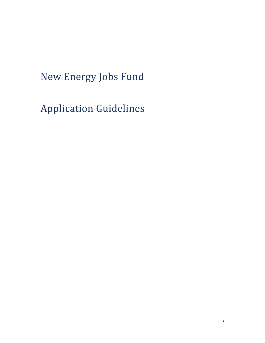New Energy Jobs Fund

**Application Guidelines**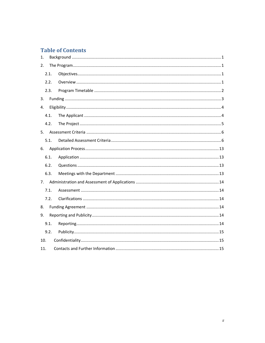# **Table of Contents**

| 1.  |      |  |
|-----|------|--|
| 2.  |      |  |
|     | 2.1. |  |
|     | 2.2. |  |
|     | 2.3. |  |
| 3.  |      |  |
| 4.  |      |  |
|     | 4.1. |  |
|     | 4.2. |  |
|     |      |  |
|     | 5.1. |  |
| 6.  |      |  |
|     | 6.1. |  |
|     | 6.2. |  |
|     | 6.3. |  |
| 7.  |      |  |
|     | 7.1. |  |
|     | 7.2. |  |
| 8.  |      |  |
| 9.  |      |  |
|     | 9.1. |  |
|     | 9.2. |  |
| 10. |      |  |
| 11. |      |  |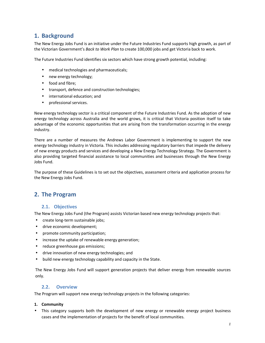# **1. Background**

The New Energy Jobs Fund is an initiative under the Future Industries Fund supports high growth, as part of the Victorian Government's *Back to Work Plan* to create 100,000 jobs and get Victoria back to work.

The Future Industries Fund identifies six sectors which have strong growth potential, including:

- medical technologies and pharmaceuticals;
- new energy technology;
- food and fibre;
- transport, defence and construction technologies;
- international education; and
- professional services.

New energy technology sector is a critical component of the Future Industries Fund. As the adoption of new energy technology across Australia and the world grows, it is critical that Victoria position itself to take advantage of the economic opportunities that are arising from the transformation occurring in the energy industry.

There are a number of measures the Andrews Labor Government is implementing to support the new energy technology industry in Victoria. This includes addressing regulatory barriers that impede the delivery of new energy products and services and developing a New Energy Technology Strategy. The Government is also providing targeted financial assistance to local communities and businesses through the New Energy Jobs Fund.

The purpose of these Guidelines is to set out the objectives, assessment criteria and application process for the New Energy Jobs Fund.

## **2. The Program**

### **2.1. Objectives**

The New Energy Jobs Fund (the Program) assists Victorian based new energy technology projects that:

- create long-term sustainable jobs;
- drive economic development;
- promote community participation;
- increase the uptake of renewable energy generation;
- reduce greenhouse gas emissions;
- drive innovation of new energy technologies; and
- build new energy technology capability and capacity in the State.

The New Energy Jobs Fund will support generation projects that deliver energy from renewable sources only.

### **2.2. Overview**

The Program will support new energy technology projects in the following categories:

#### **1. Community**

• This category supports both the development of new energy or renewable energy project business cases and the implementation of projects for the benefit of local communities.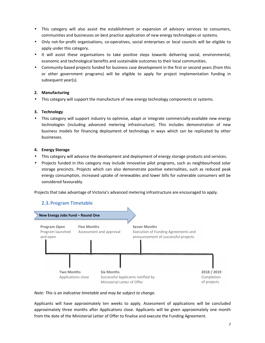- This category will also assist the establishment or expansion of advisory services to consumers, communities and businesses on best practice application of new energy technologies or systems.
- Only not-for-profit organisations, co-operatives, social enterprises or local councils will be eligible to apply under this category.
- It will assist these organisations to take positive steps towards delivering social, environmental, economic and technological benefits and sustainable outcomes to their local communities.
- Community-based projects funded for business case development in the first or second years (from this or other government programs) will be eligible to apply for project implementation funding in subsequent year(s).

### **2. Manufacturing**

• This category will support the manufacture of new energy technology components or systems.

#### **3. Technology**

• This category will support industry to optimise, adapt or integrate commercially-available new energy technologies (including advanced metering infrastructure). This includes demonstration of new business models for financing deployment of technology in ways which can be replicated by other businesses.

#### **4. Energy Storage**

- This category will advance the development and deployment of energy storage products and services.
- Projects funded in this category may include innovative pilot programs, such as neighbourhood solar storage precincts. Projects which can also demonstrate positive externalities, such as reduced peak energy consumption, increased uptake of renewables and lower bills for vulnerable consumers will be considered favourably.

Projects that take advantage of Victoria's advanced metering infrastructure are encouraged to apply.

## **2.3.Program Timetable**



#### *Note: This is an indicative timetable and may be subject to change.*

Applicants will have approximately ten weeks to apply. Assessment of applications will be concluded approximately three months after Applications close. Applicants will be given approximately one month from the date of the Ministerial Letter of Offer to finalise and execute the Funding Agreement.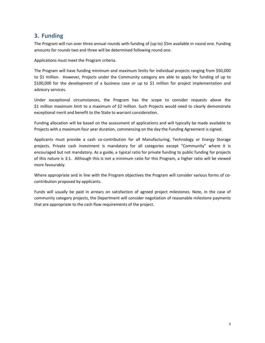## **3. Funding**

The Program will run over three annual rounds with funding of (up to) \$5m available in round one. Funding amounts for rounds two and three will be determined following round one.

Applications must meet the Program criteria.

The Program will have funding minimum and maximum limits for individual projects ranging from \$50,000 to \$1 million. However, Projects under the Community category are able to apply for funding of up to \$100,000 for the development of a business case or up to \$1 million for project implementation and advisory services.

Under exceptional circumstances, the Program has the scope to consider requests above the \$1 million maximum limit to a maximum of \$2 million. Such Projects would need to clearly demonstrate exceptional merit and benefit to the State to warrant consideration.

Funding allocation will be based on the assessment of applications and will typically be made available to Projects with a maximum four year duration, commencing on the day the Funding Agreement is signed.

Applicants must provide a cash co-contribution for all Manufacturing, Technology or Energy Storage projects. Private cash investment is mandatory for all categories except "Community" where it is encouraged but not mandatory. As a guide, a typical ratio for private funding to public funding for projects of this nature is 3:1. Although this is not a minimum ratio for this Program, a higher ratio will be viewed more favourably.

Where appropriate and in line with the Program objectives the Program will consider various forms of cocontribution proposed by applicants.

Funds will usually be paid in arrears on satisfaction of agreed project milestones. Note, in the case of community category projects, the Department will consider negotiation of reasonable milestone payments that are appropriate to the cash flow requirements of the project.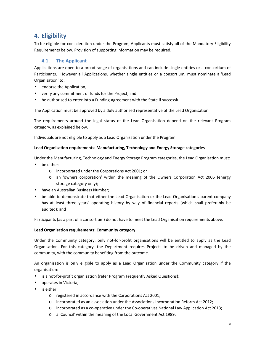# **4. Eligibility**

To be eligible for consideration under the Program, Applicants must satisfy **all** of the Mandatory Eligibility Requirements below. Provision of supporting information may be required.

## **4.1. The Applicant**

Applications are open to a broad range of organisations and can include single entities or a consortium of Participants. However all Applications, whether single entities or a consortium, must nominate a 'Lead Organisation' to:

- endorse the Application;
- verify any commitment of funds for the Project; and
- be authorised to enter into a Funding Agreement with the State if successful.

The Application must be approved by a duly authorised representative of the Lead Organisation.

The requirements around the legal status of the Lead Organisation depend on the relevant Program category, as explained below.

Individuals are not eligible to apply as a Lead Organisation under the Program.

#### **Lead Organisation requirements: Manufacturing, Technology and Energy Storage categories**

Under the Manufacturing, Technology and Energy Storage Program categories, the Lead Organisation must:

- be either:
	- o incorporated under the Corporations Act 2001; or
	- o an 'owners corporation' within the meaning of the Owners Corporation Act 2006 (energy storage category only);
- have an Australian Business Number;
- be able to demonstrate that either the Lead Organisation or the Lead Organisation's parent company has at least three years' operating history by way of financial reports (which shall preferably be audited); and

Participants (as a part of a consortium) do not have to meet the Lead Organisation requirements above.

#### **Lead Organisation requirements: Community category**

Under the Community category, only not-for-profit organisations will be entitled to apply as the Lead Organisation. For this category, the Department requires Projects to be driven and managed by the community, with the community benefiting from the outcome.

An organisation is only eligible to apply as a Lead Organisation under the Community category if the organisation:

- is a not-for-profit organisation (refer Program Frequently Asked Questions);
- operates in Victoria;
- is either:
	- o registered in accordance with the Corporations Act 2001;
	- o incorporated as an association under the Associations Incorporation Reform Act 2012;
	- o incorporated as a co-operative under the Co-operatives National Law Application Act 2013;
	- o a 'Council' within the meaning of the Local Government Act 1989;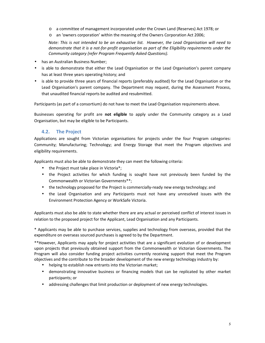- o a committee of management incorporated under the Crown Land (Reserves) Act 1978; or
- o an 'owners corporation' within the meaning of the Owners Corporation Act 2006;

*Note: This is not intended to be an exhaustive list. However, the Lead Organisation will need to demonstrate that it is a not-for-profit organisation as part of the Eligibility requirements under the Community category (refer Program Frequently Asked Questions).* 

- has an Australian Business Number;
- is able to demonstrate that either the Lead Organisation or the Lead Organisation's parent company has at least three years operating history; and
- is able to provide three years of financial reports (preferably audited) for the Lead Organisation or the Lead Organisation's parent company. The Department may request, during the Assessment Process, that unaudited financial reports be audited and resubmitted.

Participants (as part of a consortium) do not have to meet the Lead Organisation requirements above.

Businesses operating for profit are **not eligible** to apply under the Community category as a Lead Organisation, but may be eligible to be Participants.

## **4.2. The Project**

Applications are sought from Victorian organisations for projects under the four Program categories: Community; Manufacturing; Technology; and Energy Storage that meet the Program objectives and eligibility requirements.

Applicants must also be able to demonstrate they can meet the following criteria:

- the Project must take place in Victoria\*;
- the Project activities for which funding is sought have not previously been funded by the Commonwealth or Victorian Governments\*\*;
- the technology proposed for the Project is commercially-ready new energy technology; and
- the Lead Organisation and any Participants must not have any unresolved issues with the Environment Protection Agency or WorkSafe Victoria.

Applicants must also be able to state whether there are any actual or perceived conflict of interest issues in relation to the proposed project for the Applicant, Lead Organisation and any Participants.

\* Applicants may be able to purchase services, supplies and technology from overseas, provided that the expenditure on overseas sourced purchases is agreed to by the Department.

\*\*However, Applicants may apply for project activities that are a significant evolution of or development upon projects that previously obtained support from the Commonwealth or Victorian Governments. The Program will also consider funding project activities currently receiving support that meet the Program objectives and the contribute to the broader development of the new energy technology industry by:

- helping to establish new entrants into the Victorian market;
- demonstrating innovative business or financing models that can be replicated by other market participants; or
- addressing challenges that limit production or deployment of new energy technologies.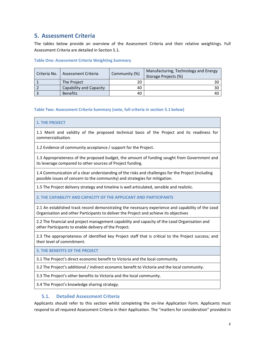# **5. Assessment Criteria**

The tables below provide an overview of the Assessment Criteria and their relative weightings. Full Assessment Criteria are detailed in Section 5.1.

#### **Table One: Assessment Criteria Weighting Summary**

| Criteria No. | Assessment Criteria     | Community (%) | Manufacturing, Technology and Energy<br>Storage Projects (%) |
|--------------|-------------------------|---------------|--------------------------------------------------------------|
|              | The Project             | 20            | 30 I                                                         |
|              | Capability and Capacity | 40            | 30 I                                                         |
|              | <b>Benefits</b>         | 40            | 40 I                                                         |

#### **Table Two: Assessment Criteria Summary (note, full criteria in section 5.1 below)**

#### **1. THE PROJECT**

1.1 Merit and validity of the proposed technical basis of the Project and its readiness for commercialisation.

1.2 Evidence of community acceptance / support for the Project.

1.3 Appropriateness of the proposed budget, the amount of funding sought from Government and its leverage compared to other sources of Project funding.

1.4 Communication of a clear understanding of the risks and challenges for the Project (including possible issues of concern to the community) and strategies for mitigation.

1.5 The Project delivery strategy and timeline is well articulated, sensible and realistic.

**2. THE CAPABILITY AND CAPACITY OF THE APPLICANT AND PARTICIPANTS** 

2.1 An established track record demonstrating the necessary experience and capability of the Lead Organisation and other Participants to deliver the Project and achieve its objectives

2.2 The financial and project management capability and capacity of the Lead Organisation and other Participants to enable delivery of the Project.

2.3 The appropriateness of identified key Project staff that is critical to the Project success; and their level of commitment.

**3. THE BENEFITS OF THE PROJECT** 

3.1 The Project's direct economic benefit to Victoria and the local community.

3.2 The Project's additional / indirect economic benefit to Victoria and the local community.

3.3 The Project's other benefits to Victoria and the local community.

3.4 The Project's knowledge sharing strategy.

### **5.1. Detailed Assessment Criteria**

Applicants should refer to this section whilst completing the on-line Application Form. Applicants must respond to all required Assessment Criteria in their Application. The "matters for consideration" provided in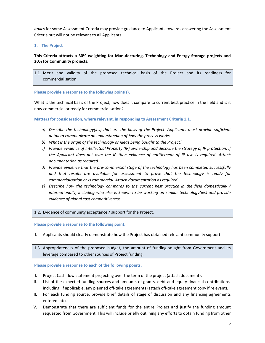*italics* for some Assessment Criteria may provide guidance to Applicants towards answering the Assessment Criteria but will not be relevant to all Applicants.

#### **1. The Project**

### **This Criteria attracts a 30% weighting for Manufacturing, Technology and Energy Storage projects and 20% for Community projects.**

1.1. Merit and validity of the proposed technical basis of the Project and its readiness for commercialisation.

#### **Please provide a response to the following point(s).**

What is the technical basis of the Project, how does it compare to current best practice in the field and is it now commercial or ready for commercialisation?

**Matters for consideration, where relevant, in responding to Assessment Criteria 1.1.** 

- *a) Describe the technology(ies) that are the basis of the Project. Applicants must provide sufficient detail to communicate an understanding of how the process works.*
- *b) What is the origin of the technology or ideas being bought to the Project?*
- *c) Provide evidence of Intellectual Property (IP) ownership and describe the strategy of IP protection. If the Applicant does not own the IP then evidence of entitlement of IP use is required. Attach documentation as required.*
- *d) Provide evidence that the pre-commercial stage of the technology has been completed successfully and that results are available for assessment to prove that the technology is ready for commercialisation or is commercial. Attach documentation as required.*
- *e) Describe how the technology compares to the current best practice in the field domestically / internationally, including who else is known to be working on similar technology(ies) and provide evidence of global cost competitiveness.*

#### 1.2. Evidence of community acceptance / support for the Project.

#### **Please provide a response to the following point.**

I. Applicants should clearly demonstrate how the Project has obtained relevant community support.

1.3. Appropriateness of the proposed budget, the amount of funding sought from Government and its leverage compared to other sources of Project funding.

#### **Please provide a response to each of the following points.**

- I. Project Cash flow statement projecting over the term of the project (attach document).
- II. List of the expected funding sources and amounts of grants, debt and equity financial contributions, including, if applicable, any planned off-take agreements (attach off-take agreement copy if relevant).
- III. For each funding source, provide brief details of stage of discussion and any financing agreements entered into.
- IV. Demonstrate that there are sufficient funds for the entire Project and justify the funding amount requested from Government. This will include briefly outlining any efforts to obtain funding from other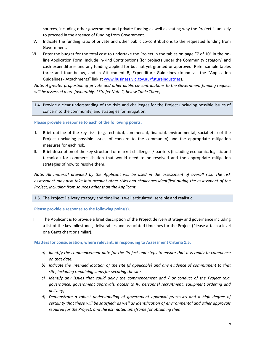sources, including other government and private funding as well as stating why the Project is unlikely to proceed in the absence of funding from Government.

- V. Indicate the funding ratio of private and other public co-contributions to the requested funding from Government.
- VI. Enter the budget for the total cost to undertake the Project in the tables on page "7 of 10" in the online Application Form. Include In-kind Contributions (for projects under the Community category) and cash expenditures and any funding applied for but not yet granted or approved. Refer sample tables three and four below, and in Attachment B, Expenditure Guidelines (found via the "Application Guidelines - Attachments" link at www.business.vic.gov.au/futureindustries).

*Note: A greater proportion of private and other public co-contributions to the Government funding request will be assessed more favourably. \*\*(refer Note 2, below Table Three)* 

1.4. Provide a clear understanding of the risks and challenges for the Project (including possible issues of concern to the community) and strategies for mitigation.

**Please provide a response to each of the following points.** 

- I. Brief outline of the key risks (e.g. technical, commercial, financial, environmental, social etc.) of the Project (including possible issues of concern to the community) and the appropriate mitigation measures for each risk.
- II. Brief description of the key structural or market challenges / barriers (including economic, logistic and technical) for commercialisation that would need to be resolved and the appropriate mitigation strategies of how to resolve them.

*Note: All material provided by the Applicant will be used in the assessment of overall risk. The risk assessment may also take into account other risks and challenges identified during the assessment of the Project, including from sources other than the Applicant.* 

1.5. The Project Delivery strategy and timeline is well articulated, sensible and realistic.

**Please provide a response to the following point(s).** 

I. The Applicant is to provide a brief description of the Project delivery strategy and governance including a list of the key milestones, deliverables and associated timelines for the Project (Please attach a level one Gantt chart or similar).

#### **Matters for consideration, where relevant, in responding to Assessment Criteria 1.5.**

- *a) Identify the commencement date for the Project and steps to ensure that it is ready to commence on that date.*
- *b) Indicate the intended location of the site (if applicable) and any evidence of commitment to that site, including remaining steps for securing the site.*
- *c) Identify any issues that could delay the commencement and / or conduct of the Project (e.g. governance, government approvals, access to IP, personnel recruitment, equipment ordering and delivery).*
- *d) Demonstrate a robust understanding of government approval processes and a high degree of certainty that these will be satisfied; as well as identification of environmental and other approvals required for the Project, and the estimated timeframe for obtaining them.*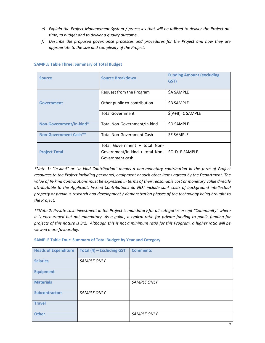- *e) Explain the Project Management System / processes that will be utilised to deliver the Project ontime, to budget and to deliver a quality outcome.*
- *f) Describe the proposed governance processes and procedures for the Project and how they are appropriate to the size and complexity of the Project.*

| <b>Source</b>           | <b>Source Breakdown</b>                                                             | <b>Funding Amount (excluding</b><br>GST) |
|-------------------------|-------------------------------------------------------------------------------------|------------------------------------------|
|                         | Request from the Program                                                            | \$A SAMPLE                               |
| Government              | Other public co-contribution                                                        | <b>\$B SAMPLE</b>                        |
|                         | <b>Total Government</b>                                                             | $$(A+B)=C$ SAMPLE                        |
| Non-Government/In-kind* | Total Non-Government/In-kind                                                        | <b>\$D SAMPLE</b>                        |
| Non-Government Cash**   | <b>Total Non-Government Cash</b>                                                    | <b>SE SAMPLE</b>                         |
| <b>Project Total</b>    | Total Government + total Non-<br>Government/In-kind + total Non-<br>Government cash | \$C+D+E SAMPLE                           |

#### **SAMPLE Table Three: Summary of Total Budget**

*\*Note 1: "In-kind" or "In-kind Contribution" means a non-monetary contribution in the form of Project resources to the Project including personnel, equipment or such other items agreed by the Department. The value of In-kind Contributions must be expressed in terms of their reasonable cost or monetary value directly attributable to the Applicant. In-kind Contributions do NOT include sunk costs of background intellectual property or previous research and development / demonstration phases of the technology being brought to the Project.* 

*\*\*Note 2: Private cash investment in the Project is mandatory for all categories except "Community" where it is encouraged but not mandatory. As a guide, a typical ratio for private funding to public funding for projects of this nature is 3:1. Although this is not a minimum ratio for this Program, a higher ratio will be viewed more favourably.* 

| <b>Heads of Expenditure</b> | Total (4) - Excluding GST | <b>Comments</b>    |
|-----------------------------|---------------------------|--------------------|
| <b>Salaries</b>             | <b>SAMPLE ONLY</b>        |                    |
| <b>Equipment</b>            |                           |                    |
| <b>Materials</b>            |                           | <b>SAMPLE ONLY</b> |
| <b>Subcontractors</b>       | SAMPLE ONLY               |                    |
| <b>Travel</b>               |                           |                    |
| <b>Other</b>                |                           | <b>SAMPLE ONLY</b> |

#### **SAMPLE Table Four: Summary of Total Budget by Year and Category**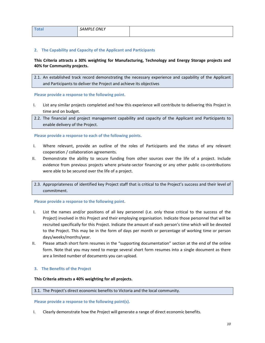| <b>Total</b> | SAMPLE ONLY |  |
|--------------|-------------|--|
|              |             |  |

#### **2. The Capability and Capacity of the Applicant and Participants**

### **This Criteria attracts a 30% weighting for Manufacturing, Technology and Energy Storage projects and 40% for Community projects.**

2.1. An established track record demonstrating the necessary experience and capability of the Applicant and Participants to deliver the Project and achieve its objectives

#### **Please provide a response to the following point.**

- I. List any similar projects completed and how this experience will contribute to delivering this Project in time and on budget.
- 2.2. The financial and project management capability and capacity of the Applicant and Participants to enable delivery of the Project.

#### **Please provide a response to each of the following points.**

- I. Where relevant, provide an outline of the roles of Participants and the status of any relevant cooperation / collaboration agreements.
- II. Demonstrate the ability to secure funding from other sources over the life of a project. Include evidence from previous projects where private-sector financing or any other public co-contributions were able to be secured over the life of a project.
- 2.3. Appropriateness of identified key Project staff that is critical to the Project's success and their level of commitment.

#### **Please provide a response to the following point.**

- I. List the names and/or positions of all key personnel (i.e. only those critical to the success of the Project) involved in this Project and their employing organisation. Indicate those personnel that will be recruited specifically for this Project. Indicate the amount of each person's time which will be devoted to the Project. This may be in the form of days per month or percentage of working time or person days/weeks/months/year.
- II. Please attach short form resumes in the "supporting documentation" section at the end of the online form. Note that you may need to merge several short form resumes into a single document as there are a limited number of documents you can upload.

#### **3. The Benefits of the Project**

#### **This Criteria attracts a 40% weighting for all projects.**

#### 3.1. The Project's direct economic benefits to Victoria and the local community.

#### **Please provide a response to the following point(s).**

I. Clearly demonstrate how the Project will generate a range of direct economic benefits.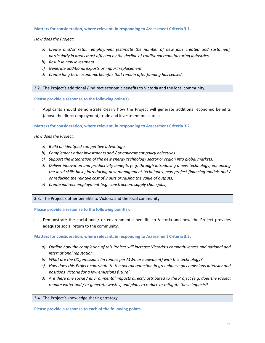#### **Matters for consideration, where relevant, in responding to Assessment Criteria 3.1.**

*How does the Project:* 

- *a) Create and/or retain employment (estimate the number of new jobs created and sustained), particularly in areas most affected by the decline of traditional manufacturing industries.*
- *b) Result in new investment.*
- *c) Generate additional exports or import replacement.*
- *d) Create long term economic benefits that remain after funding has ceased.*

3.2. The Project's additional / indirect economic benefits to Victoria and the local community.

**Please provide a response to the following point(s).** 

I. Applicants should demonstrate clearly how the Project will generate additional economic benefits (above the direct employment, trade and investment measures).

**Matters for consideration, where relevant, in responding to Assessment Criteria 3.2.** 

*How does the Project:* 

- *a) Build on identified competitive advantage.*
- *b) Complement other investments and / or government policy objectives.*
- *c) Support the integration of the new energy technology sector or region into global markets.*
- *d) Deliver innovation and productivity benefits (e.g. through introducing a new technology; enhancing the local skills base; introducing new management techniques; new project financing models and / or reducing the relative cost of inputs or raising the value of outputs).*
- *e) Create indirect employment (e.g. construction, supply chain jobs).*

3.3. The Project's other benefits to Victoria and the local community.

**Please provide a response to the following point(s).** 

I. Demonstrate the social and / or environmental benefits to Victoria and how the Project provides adequate social return to the community.

**Matters for consideration, where relevant, in responding to Assessment Criteria 3.3.** 

- *a) Outline how the completion of this Project will increase Victoria's competitiveness and national and international reputation.*
- *b) What are the CO2 emissions (in tonnes per MWh or equivalent) with this technology?*
- *c) How does this Project contribute to the overall reduction in greenhouse gas emissions intensity and positions Victoria for a low emissions future?*
- *d) Are there any social / environmental impacts directly attributed to the Project (e.g. does the Project require water and / or generate wastes) and plans to reduce or mitigate those impacts?*

3.4. The Project's knowledge sharing strategy.

**Please provide a response to each of the following points.**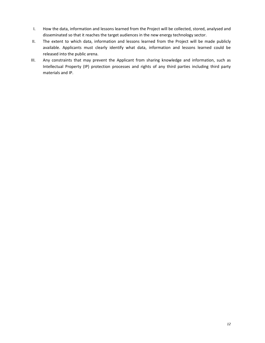- I. How the data, information and lessons learned from the Project will be collected, stored, analysed and disseminated so that it reaches the target audiences in the new energy technology sector.
- II. The extent to which data, information and lessons learned from the Project will be made publicly available. Applicants must clearly identify what data, information and lessons learned could be released into the public arena.
- III. Any constraints that may prevent the Applicant from sharing knowledge and information, such as Intellectual Property (IP) protection processes and rights of any third parties including third party materials and IP.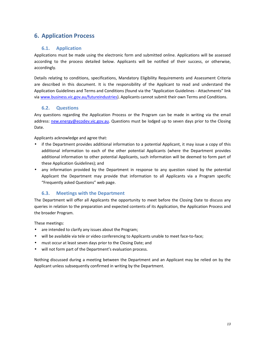# **6. Application Process**

## **6.1. Application**

Applications must be made using the electronic form and submitted online. Applications will be assessed according to the process detailed below. Applicants will be notified of their success, or otherwise, accordingly.

Details relating to conditions, specifications, Mandatory Eligibility Requirements and Assessment Criteria are described in this document. It is the responsibility of the Applicant to read and understand the Application Guidelines and Terms and Conditions (found via the "Application Guidelines - Attachments" link via www.business.vic.gov.au/futureindustries). Applicants cannot submit their own Terms and Conditions.

## **6.2. Questions**

Any questions regarding the Application Process or the Program can be made in writing via the email address: new.energy@ecodev.vic.gov.au. Questions must be lodged up to seven days prior to the Closing Date.

Applicants acknowledge and agree that:

- if the Department provides additional information to a potential Applicant, it may issue a copy of this additional information to each of the other potential Applicants (where the Department provides additional information to other potential Applicants, such information will be deemed to form part of these Application Guidelines); and
- any information provided by the Department in response to any question raised by the potential Applicant the Department may provide that information to all Applicants via a Program specific "Frequently asked Questions" web page.

## **6.3. Meetings with the Department**

The Department will offer all Applicants the opportunity to meet before the Closing Date to discuss any queries in relation to the preparation and expected contents of its Application, the Application Process and the broader Program.

These meetings:

- are intended to clarify any issues about the Program;
- will be available via tele or video conferencing to Applicants unable to meet face-to-face;
- must occur at least seven days prior to the Closing Date; and
- will not form part of the Department's evaluation process.

Nothing discussed during a meeting between the Department and an Applicant may be relied on by the Applicant unless subsequently confirmed in writing by the Department.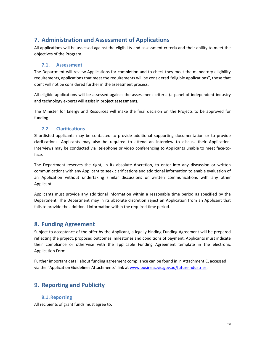# **7. Administration and Assessment of Applications**

All applications will be assessed against the eligibility and assessment criteria and their ability to meet the objectives of the Program.

### **7.1. Assessment**

The Department will review Applications for completion and to check they meet the mandatory eligibility requirements, applications that meet the requirements will be considered "eligible applications", those that don't will not be considered further in the assessment process.

All eligible applications will be assessed against the assessment criteria (a panel of independent industry and technology experts will assist in project assessment).

The Minister for Energy and Resources will make the final decision on the Projects to be approved for funding.

## **7.2. Clarifications**

Shortlisted applicants may be contacted to provide additional supporting documentation or to provide clarifications. Applicants may also be required to attend an interview to discuss their Application. Interviews may be conducted via telephone or video conferencing to Applicants unable to meet face-toface.

The Department reserves the right, in its absolute discretion, to enter into any discussion or written communications with any Applicant to seek clarifications and additional information to enable evaluation of an Application without undertaking similar discussions or written communications with any other Applicant.

Applicants must provide any additional information within a reasonable time period as specified by the Department. The Department may in its absolute discretion reject an Application from an Applicant that fails to provide the additional information within the required time period.

## **8. Funding Agreement**

Subject to acceptance of the offer by the Applicant, a legally binding Funding Agreement will be prepared reflecting the project, proposed outcomes, milestones and conditions of payment. Applicants must indicate their compliance or otherwise with the applicable Funding Agreement template in the electronic Application Form.

Further important detail about funding agreement compliance can be found in in Attachment C, accessed via the "Application Guidelines Attachments" link at www.business.vic.gov.au/futureindustries.

## **9. Reporting and Publicity**

## **9.1.Reporting**

All recipients of grant funds must agree to: